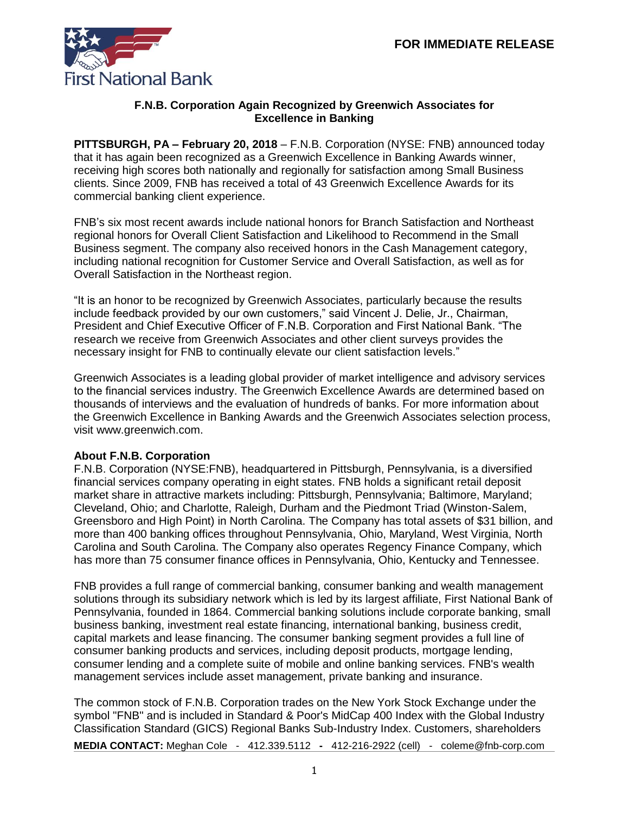

## **F.N.B. Corporation Again Recognized by Greenwich Associates for Excellence in Banking**

**PITTSBURGH, PA – February 20, 2018** – F.N.B. Corporation (NYSE: FNB) announced today that it has again been recognized as a Greenwich Excellence in Banking Awards winner, receiving high scores both nationally and regionally for satisfaction among Small Business clients. Since 2009, FNB has received a total of 43 Greenwich Excellence Awards for its commercial banking client experience.

FNB's six most recent awards include national honors for Branch Satisfaction and Northeast regional honors for Overall Client Satisfaction and Likelihood to Recommend in the Small Business segment. The company also received honors in the Cash Management category, including national recognition for Customer Service and Overall Satisfaction, as well as for Overall Satisfaction in the Northeast region.

"It is an honor to be recognized by Greenwich Associates, particularly because the results include feedback provided by our own customers," said Vincent J. Delie, Jr., Chairman, President and Chief Executive Officer of F.N.B. Corporation and First National Bank. "The research we receive from Greenwich Associates and other client surveys provides the necessary insight for FNB to continually elevate our client satisfaction levels."

Greenwich Associates is a leading global provider of market intelligence and advisory services to the financial services industry. The Greenwich Excellence Awards are determined based on thousands of interviews and the evaluation of hundreds of banks. For more information about the Greenwich Excellence in Banking Awards and the Greenwich Associates selection process, visit www.greenwich.com.

## **About F.N.B. Corporation**

F.N.B. Corporation (NYSE:FNB), headquartered in Pittsburgh, Pennsylvania, is a diversified financial services company operating in eight states. FNB holds a significant retail deposit market share in attractive markets including: Pittsburgh, Pennsylvania; Baltimore, Maryland; Cleveland, Ohio; and Charlotte, Raleigh, Durham and the Piedmont Triad (Winston-Salem, Greensboro and High Point) in North Carolina. The Company has total assets of \$31 billion, and more than 400 banking offices throughout Pennsylvania, Ohio, Maryland, West Virginia, North Carolina and South Carolina. The Company also operates Regency Finance Company, which has more than 75 consumer finance offices in Pennsylvania, Ohio, Kentucky and Tennessee.

FNB provides a full range of commercial banking, consumer banking and wealth management solutions through its subsidiary network which is led by its largest affiliate, First National Bank of Pennsylvania, founded in 1864. Commercial banking solutions include corporate banking, small business banking, investment real estate financing, international banking, business credit, capital markets and lease financing. The consumer banking segment provides a full line of consumer banking products and services, including deposit products, mortgage lending, consumer lending and a complete suite of mobile and online banking services. FNB's wealth management services include asset management, private banking and insurance.

**MEDIA CONTACT:** Meghan Cole - [412.339.5112](mailto:412.339.5112) **-** 412-216-2922 (cell) - coleme@fnb-corp.com The common stock of F.N.B. Corporation trades on the New York Stock Exchange under the symbol "FNB" and is included in Standard & Poor's MidCap 400 Index with the Global Industry Classification Standard (GICS) Regional Banks Sub-Industry Index. Customers, shareholders

1